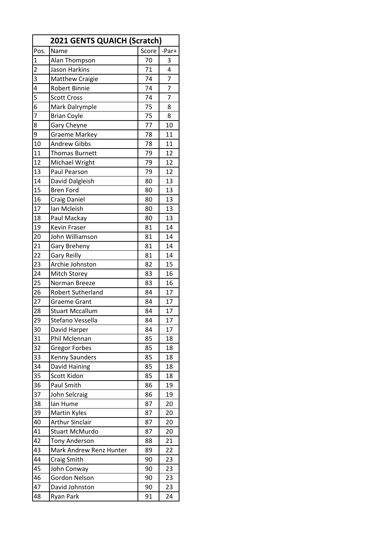| <b>2021 GENTS QUAICH (Scratch)</b> |                         |       |                |
|------------------------------------|-------------------------|-------|----------------|
| Pos.                               | Name                    | Score | -Par+          |
| $\mathbf{1}$                       | Alan Thompson           | 70    | 3              |
| $\overline{2}$                     | Jason Harkins           | 71    | 4              |
| 3                                  | <b>Matthew Craigie</b>  | 74    | $\overline{7}$ |
| 4                                  | <b>Robert Binnie</b>    | 74    | $\overline{7}$ |
| 5                                  | <b>Scott Cross</b>      | 74    | 7              |
| $\overline{6}$                     | Mark Dalrymple          | 75    | 8              |
| $\overline{7}$                     | <b>Brian Coyle</b>      | 75    | 8              |
| 8                                  | <b>Gary Cheyne</b>      | 77    | 10             |
| 9                                  | <b>Graeme Markey</b>    | 78    | 11             |
| 10                                 | <b>Andrew Gibbs</b>     | 78    | 11             |
| 11                                 | <b>Thomas Burnett</b>   | 79    | 12             |
| 12                                 | Michael Wright          | 79    | 12             |
| 13                                 | Paul Pearson            | 79    | 12             |
| 14                                 | David Dalgleish         | 80    | 13             |
| 15                                 | <b>Bren Ford</b>        | 80    | 13             |
| 16                                 | <b>Craig Daniel</b>     | 80    | 13             |
| 17                                 | Ian Mcleish             | 80    | 13             |
| 18                                 | Paul Mackay             | 80    | 13             |
| 19                                 | Kevin Fraser            | 81    | 14             |
| 20                                 | John Williamson         | 81    | 14             |
| 21                                 | Gary Breheny            | 81    | 14             |
| 22                                 | <b>Gary Reilly</b>      | 81    | 14             |
| 23                                 | Archie Johnston         | 82    | 15             |
| 24                                 | Mitch Storey            | 83    | 16             |
| 25                                 | Norman Breeze           | 83    | 16             |
| 26                                 | Robert Sutherland       | 84    | 17             |
| 27                                 | <b>Graeme Grant</b>     | 84    | 17             |
| 28                                 | <b>Stuart Mccallum</b>  | 84    | 17             |
| 29                                 | Stefano Vessella        | 84    | 17             |
| 30                                 | David Harper            | 84    | 17             |
| 31                                 | Phil Mclennan           | 85    | 18             |
| 32                                 | <b>Gregor Forbes</b>    | 85    | 18             |
| 33                                 | Kenny Saunders          | 85    | 18             |
| 34                                 | David Haining           | 85    | 18             |
| 35                                 | Scott Kidon             | 85    | 18             |
| 36                                 | Paul Smith              | 86    | 19             |
| 37                                 | John Selcraig           | 86    | 19             |
| 38                                 | lan Hume                | 87    | 20             |
| 39                                 | <b>Martin Kyles</b>     | 87    | 20             |
| 40                                 | <b>Arthur Sinclair</b>  | 87    | 20             |
| 41                                 | <b>Stuart McMurdo</b>   | 87    | 20             |
| 42                                 | <b>Tony Anderson</b>    | 88    | 21             |
| 43                                 | Mark Andrew Renz Hunter | 89    | 22             |
| 44                                 | Craig Smith             | 90    | 23             |
| 45                                 | John Conway             | 90    | 23             |
| 46                                 | Gordon Nelson           | 90    | 23             |
| 47                                 | David Johnston          | 90    | 23             |
| 48                                 | Ryan Park               | 91    | 24             |